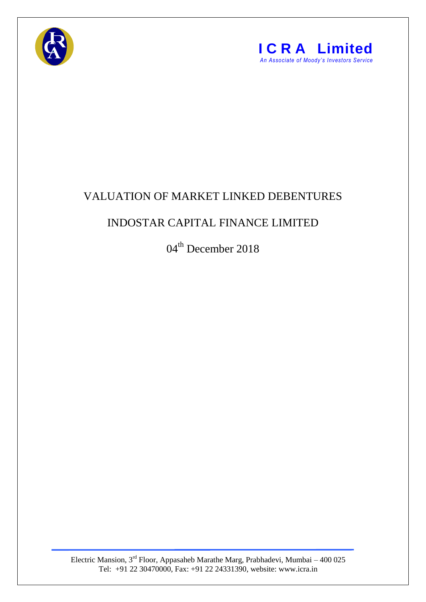



## VALUATION OF MARKET LINKED DEBENTURES

## INDOSTAR CAPITAL FINANCE LIMITED

04<sup>th</sup> December 2018